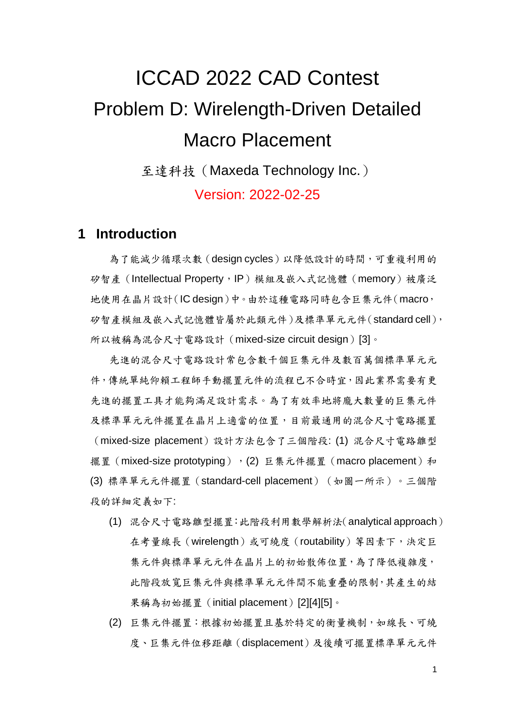# ICCAD 2022 CAD Contest Problem D: Wirelength-Driven Detailed Macro Placement 至達科技(Maxeda Technology Inc.)

## Version: 2022-02-25

## **1 Introduction**

為了能減少循環次數(design cycles)以降低設計的時間,可重複利用的 矽智產(Intellectual Property,IP)模組及嵌入式記憶體(memory)被廣泛 地使用在晶片設計(IC design)中。由於這種電路同時包含巨集元件(macro, 矽智產模組及嵌入式記憶體皆屬於此類元件)及標準單元元件(standard cell), 所以被稱為混合尺寸電路設計(mixed-size circuit design)[3]。

先進的混合尺寸電路設計常包含數千個巨集元件及數百萬個標準單元元 件,傳統單純仰賴工程師手動擺置元件的流程已不合時宜,因此業界需要有更 先進的擺置工具才能夠滿足設計需求。為了有效率地將龐大數量的巨集元件 及標準單元元件擺置在晶片上適當的位置,目前最通用的混合尺寸電路擺置 (mixed-size placement)設計方法包含了三個階段: (1) 混合尺寸電路雛型 擺置(mixed-size prototyping), (2) 巨集元件擺置(macro placement)和 (3) 標準單元元件擺置(standard-cell placement)(如圖一所示)。三個階 段的詳細定義如下:

- (1) 混合尺寸電路雛型擺置:此階段利用數學解析法(analytical approach) 在考量線長 (wirelength) 或可繞度 (routability) 等因素下, 決定巨 集元件與標準單元元件在晶片上的初始散佈位置,為了降低複雜度, 此階段放寬巨集元件與標準單元元件間不能重疊的限制,其產生的結 果稱為初始擺置(initial placement)[\[2\]](#page-6-0)[\[4\]](#page-6-1)[\[5\]](#page-6-2)。
- (2) 巨集元件擺置:根據初始擺置且基於特定的衡量機制,如線長、可繞 度、巨集元件位移距離(displacement)及後續可擺置標準單元元件

1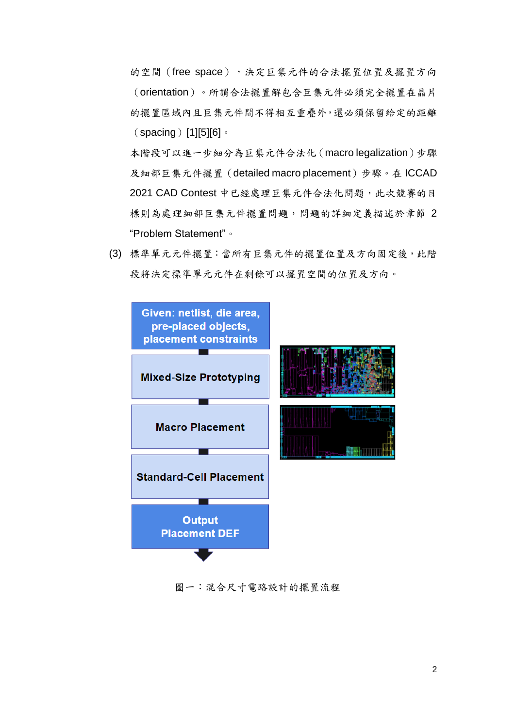的空間(free space),決定巨集元件的合法擺置位置及擺置方向 (orientation)。所謂合法擺置解包含巨集元件必須完全擺置在晶片 的擺置區域內且巨集元件間不得相互重疊外,還必須保留給定的距離  $(s$ pacing) $[1][5][6]$  $[1][5][6]$  $[1][5][6]$ 

本階段可以進一步細分為巨集元件合法化(macro legalization)步驟 及細部巨集元件擺置(detailed macro placement)步驟。在 ICCAD 2021 CAD Contest 中已經處理巨集元件合法化問題,此次競賽的目 標則為處理細部巨集元件擺置問題,問題的詳細定義描述於章節 2 "Problem Statement"。

(3) 標準單元元件擺置:當所有巨集元件的擺置位置及方向固定後,此階 段將決定標準單元元件在剩餘可以擺置空間的位置及方向。



圖一:混合尺寸電路設計的擺置流程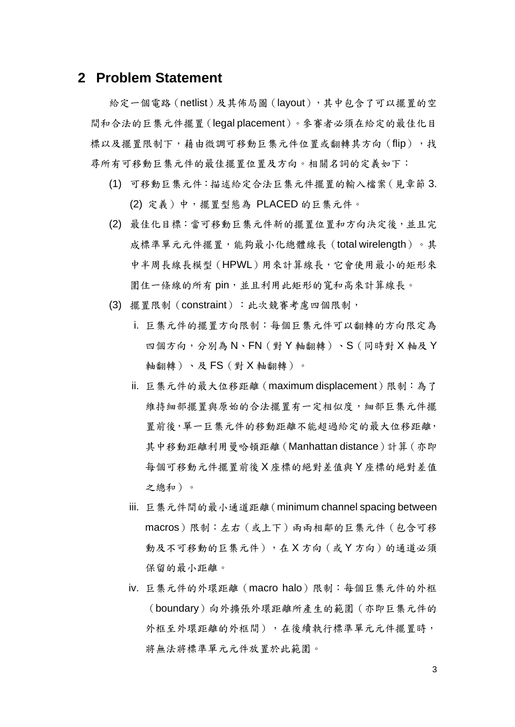#### **2 Problem Statement**

給定一個電路(netlist)及其佈局圖(layout),其中包含了可以擺置的空 間和合法的巨集元件擺置(legal placement)。參賽者必須在給定的最佳化目 標以及擺置限制下,藉由微調可移動巨集元件位置或翻轉其方向(flip),找 尋所有可移動巨集元件的最佳擺置位置及方向。相關名詞的定義如下:

- (1) 可移動巨集元件:描述給定合法巨集元件擺置的輸入檔案(見章節 3. (2) 定義)中,擺置型態為 PLACED 的巨集元件。
- (2) 最佳化目標:當可移動巨集元件新的擺置位置和方向決定後,並且完 成標準單元元件擺置,能夠最小化總體線長(total wirelength)。其 中半周長線長模型(HPWL)用來計算線長,它會使用最小的矩形來 圍住一條線的所有 pin,並且利用此矩形的寬和高來計算線長。
- (3) 擺置限制(constraint):此次競賽考慮四個限制,
	- i. 巨集元件的擺置方向限制:每個巨集元件可以翻轉的方向限定為 四個方向,分別為 N、FN(對 Y 軸翻轉)、S(同時對 X 軸及 Y 軸翻轉)、及 FS(對 X 軸翻轉)。
	- ii. 巨集元件的最大位移距離(maximum displacement)限制:為了 維持細部擺置與原始的合法擺置有一定相似度,細部巨集元件擺 置前後,單一巨集元件的移動距離不能超過給定的最大位移距離, 其中移動距離利用曼哈頓距離(Manhattan distance)計算(亦即 每個可移動元件擺置前後 X 座標的絕對差值與 Y 座標的絕對差值 之總和)。
	- iii. 巨集元件間的最小通道距離(minimum channel spacing between macros)限制:左右(或上下)兩兩相鄰的巨集元件(包含可移 動及不可移動的巨集元件),在 X 方向(或 Y 方向)的通道必須 保留的最小距離。
	- iv. 巨集元件的外環距離(macro halo)限制:每個巨集元件的外框 (boundary)向外擴張外環距離所產生的範圍(亦即巨集元件的 外框至外環距離的外框間),在後續執行標準單元元件擺置時, 將無法將標準單元元件放置於此範圍。

3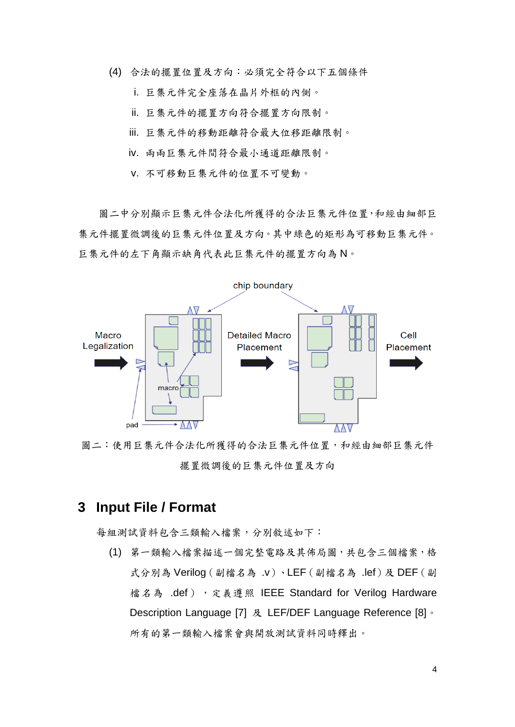(4) 合法的擺置位置及方向:必須完全符合以下五個條件

- i. 巨集元件完全座落在晶片外框的內側。
- ii. 巨集元件的擺置方向符合擺置方向限制。
- iii. 巨集元件的移動距離符合最大位移距離限制。
- iv. 兩兩巨集元件間符合最小通道距離限制。
- v. 不可移動巨集元件的位置不可變動。

圖二中分別顯示巨集元件合法化所獲得的合法巨集元件位置,和經由細部巨 集元件擺置微調後的巨集元件位置及方向。其中綠色的矩形為可移動巨集元件。 巨集元件的左下角顯示缺角代表此巨集元件的擺置方向為 N。



圖二:使用巨集元件合法化所獲得的合法巨集元件位置,和經由細部巨集元件 擺置微調後的巨集元件位置及方向

## **3 Input File / Format**

每組測試資料包含三類輸入檔案,分別敘述如下:

(1) 第一類輸入檔案描述一個完整電路及其佈局圖,共包含三個檔案,格 式分別為 Verilog(副檔名為 .v)、LEF(副檔名為 .lef)及 DEF(副 檔名為 .def), 定義遵照 IEEE Standard for Verilog Hardware Description Language [\[7\]](#page-6-5) 及 LEF/DEF Language Reference [8]。 所有的第一類輸入檔案會與開放測試資料同時釋出。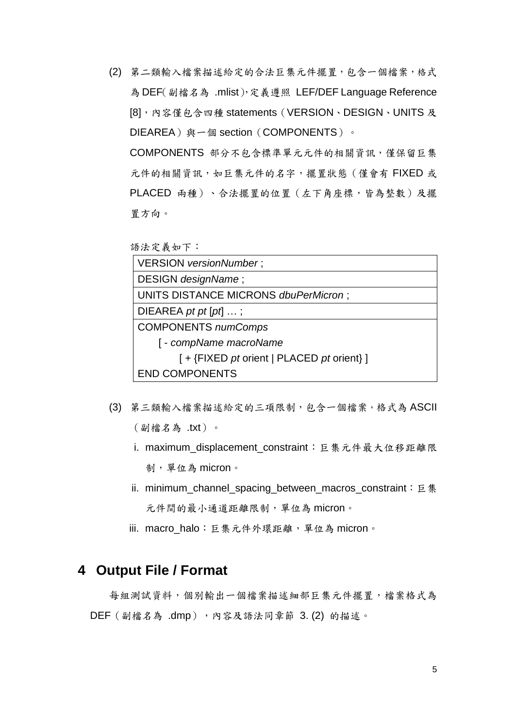(2) 第二類輸入檔案描述給定的合法巨集元件擺置,包含一個檔案,格式 為 DEF(副檔名為 .mlist),定義遵照 LEF/DEF Language Reference [8], 內容僅包含四種 statements (VERSION、DESIGN、UNITS 及 DIEAREA)與一個 section (COMPONENTS)。 COMPONENTS 部分不包含標準單元元件的相關資訊,僅保留巨集 元件的相關資訊,如巨集元件的名字,擺置狀態(僅會有 FIXED 或

PLACED 兩種)、合法擺置的位置(左下角座標,皆為整數)及擺 置方向。

語法定義如下:

| VERSION versionNumber;                    |
|-------------------------------------------|
| DESIGN designName;                        |
| UNITS DISTANCE MICRONS dbuPerMicron;      |
| DIEAREA <i>pt pt</i> $[pt] ;$             |
| <b>COMPONENTS numComps</b>                |
| [ - compName macroName                    |
| [+ {FIXED pt orient   PLACED pt orient} ] |
| <b>END COMPONENTS</b>                     |

- (3) 第三類輸入檔案描述給定的三項限制,包含一個檔案,格式為 ASCII (副檔名為 .txt)。
	- i. maximum\_displacement\_constraint:巨集元件最大位移距離限 制,單位為 micron。
	- ii. minimum\_channel\_spacing\_between\_macros\_constraint:巨集 元件間的最小通道距離限制,單位為 micron。
	- iii. macro\_halo:巨集元件外環距離,單位為 micron。

## **4 Output File / Format**

每組測試資料,個別輸出一個檔案描述細部巨集元件擺置,檔案格式為 DEF(副檔名為 .dmp),內容及語法同章節 3. (2) 的描述。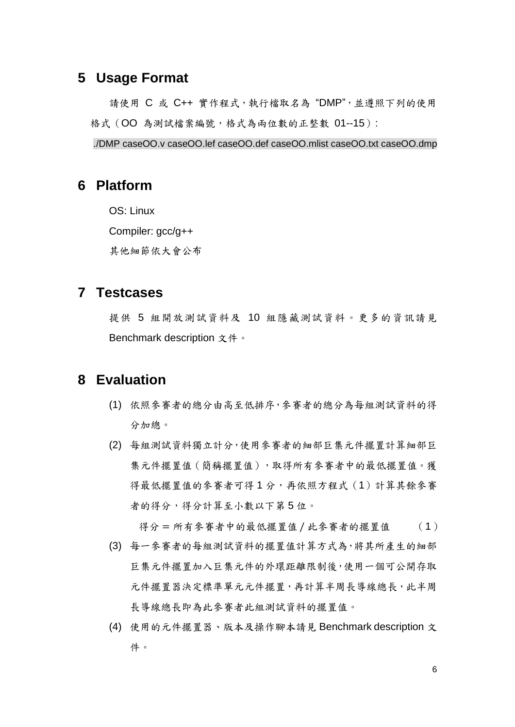## **5 Usage Format**

請使用 C 或 C++ 實作程式,執行檔取名為"DMP",並遵照下列的使用 格式(OO 為測試檔案編號,格式為兩位數的正整數 01--15):

./DMP caseOO.v caseOO.lef caseOO.def caseOO.mlist caseOO.txt caseOO.dmp

## **6 Platform**

OS: Linux Compiler: gcc/g++

其他細節依大會公布

## **7 Testcases**

提供 5 組開放測試資料及 10 組隱藏測試資料。更多的資訊請見 Benchmark description 文件。

## **8 Evaluation**

- (1) 依照參賽者的總分由高至低排序,參賽者的總分為每組測試資料的得 分加總。
- (2) 每組測試資料獨立計分,使用參賽者的細部巨集元件擺置計算細部巨 集元件擺置值(簡稱擺置值),取得所有參賽者中的最低擺置值。獲 得最低擺置值的參賽者可得1分,再依照方程式(1)計算其餘參賽 者的得分,得分計算至小數以下第 5 位。

得分 = 所有參賽者中的最低擺置值 / 此參賽者的擺置值 (1)

- (3) 每一參賽者的每組測試資料的擺置值計算方式為,將其所產生的細部 巨集元件擺置加入巨集元件的外環距離限制後,使用一個可公開存取 元件擺置器決定標準單元元件擺置,再計算半周長導線總長,此半周 長導線總長即為此參賽者此組測試資料的擺置值。
- (4) 使用的元件擺置器、版本及操作腳本請見 Benchmark description 文 件。